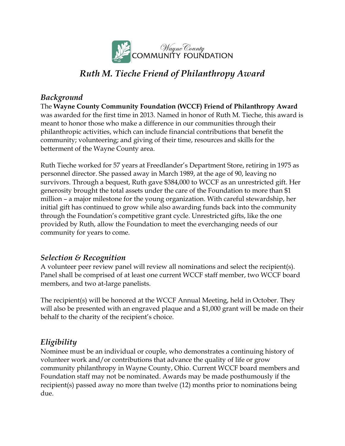

# *Ruth M. Tieche Friend of Philanthropy Award*

### *Background*

The **Wayne County Community Foundation (WCCF) Friend of Philanthropy Award** was awarded for the first time in 2013. Named in honor of Ruth M. Tieche, this award is meant to honor those who make a difference in our communities through their philanthropic activities, which can include financial contributions that benefit the community; volunteering; and giving of their time, resources and skills for the betterment of the Wayne County area.

Ruth Tieche worked for 57 years at Freedlander's Department Store, retiring in 1975 as personnel director. She passed away in March 1989, at the age of 90, leaving no survivors. Through a bequest, Ruth gave \$384,000 to WCCF as an unrestricted gift. Her generosity brought the total assets under the care of the Foundation to more than \$1 million – a major milestone for the young organization. With careful stewardship, her initial gift has continued to grow while also awarding funds back into the community through the Foundation's competitive grant cycle. Unrestricted gifts, like the one provided by Ruth, allow the Foundation to meet the everchanging needs of our community for years to come.

# *Selection & Recognition*

A volunteer peer review panel will review all nominations and select the recipient(s). Panel shall be comprised of at least one current WCCF staff member, two WCCF board members, and two at-large panelists.

The recipient(s) will be honored at the WCCF Annual Meeting, held in October. They will also be presented with an engraved plaque and a \$1,000 grant will be made on their behalf to the charity of the recipient's choice.

# *Eligibility*

Nominee must be an individual or couple, who demonstrates a continuing history of volunteer work and/or contributions that advance the quality of life or grow community philanthropy in Wayne County, Ohio. Current WCCF board members and Foundation staff may not be nominated. Awards may be made posthumously if the recipient(s) passed away no more than twelve (12) months prior to nominations being due.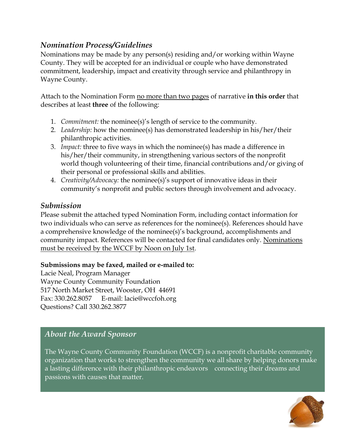# *Nomination Process/Guidelines*

Nominations may be made by any person(s) residing and/or working within Wayne County. They will be accepted for an individual or couple who have demonstrated commitment, leadership, impact and creativity through service and philanthropy in Wayne County.

Attach to the Nomination Form no more than two pages of narrative **in this order** that describes at least **three** of the following:

- 1. *Commitment:* the nominee(s)'s length of service to the community.
- 2. *Leadership:* how the nominee(s) has demonstrated leadership in his/her/their philanthropic activities.
- 3. *Impact:* three to five ways in which the nominee(s) has made a difference in his/her/their community, in strengthening various sectors of the nonprofit world though volunteering of their time, financial contributions and/or giving of their personal or professional skills and abilities.
- 4. *Creativity/Advocacy:* the nominee(s)'s support of innovative ideas in their community's nonprofit and public sectors through involvement and advocacy.

### *Submission*

Please submit the attached typed Nomination Form, including contact information for two individuals who can serve as references for the nominee(s). References should have a comprehensive knowledge of the nominee(s)'s background, accomplishments and community impact. References will be contacted for final candidates only. Nominations must be received by the WCCF by Noon on July 1st.

#### **Submissions may be faxed, mailed or e-mailed to:**

Lacie Neal, Program Manager Wayne County Community Foundation 517 North Market Street, Wooster, OH 44691 Fax: 330.262.8057 E-mail: lacie@wccfoh.org Questions? Call 330.262.3877

# *About the Award Sponsor*

The Wayne County Community Foundation (WCCF) is a nonprofit charitable community organization that works to strengthen the community we all share by helping donors make a lasting difference with their philanthropic endeavors – connecting their dreams and passions with causes that matter.